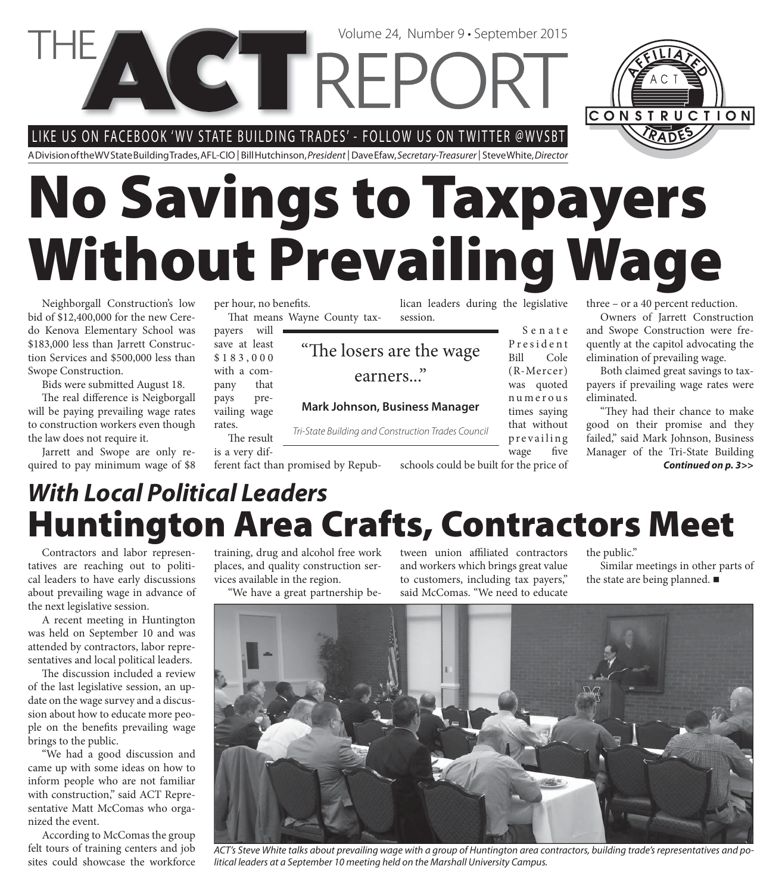LIKE US ON FACEBOOK 'WV STATE BUILDING TRADES' - FOLLOW US ON TWITTER @WVSBT

**CETTREP** 

A Division of the WV State Building Trades, AFL-CIO | Bill Hutchinson, President | Dave Efaw, Secretary-Treasurer | Steve White, Director

# **No Savings to Taxpayers Without Prevailing Wage**

"The losers are the wage

earners..."

**Mark Johnson, Business Manager**

Tri-State Building and Construction Trades Council

Neighborgall Construction's low bid of \$12,400,000 for the new Ceredo Kenova Elementary School was \$183,000 less than Jarrett Construction Services and \$500,000 less than Swope Construction.

Bids were submitted August 18.

The real difference is Neigborgall will be paying prevailing wage rates to construction workers even though the law does not require it.

Jarrett and Swope are only required to pay minimum wage of \$8 per hour, no benefits. That means Wayne County tax-

payers will save at least \$ 1 8 3 , 0 0 0 with a company that pays prevailing wage rates.

The result is a very dif-

ferent fact than promised by Repub-

lican leaders during the legislative session.

Volume 24, Number 9 • September 2015

S e n a t e P r e s i d e n t Bill Cole (R-Mercer) was quoted n u m e r o u s times saying that without prevailing wage five

schools could be built for the price of

three – or a 40 percent reduction.

Owners of Jarrett Construction and Swope Construction were frequently at the capitol advocating the elimination of prevailing wage.

Both claimed great savings to taxpayers if prevailing wage rates were eliminated.

"They had their chance to make good on their promise and they failed," said Mark Johnson, Business Manager of the Tri-State Building *Continued on p. 3>>*

### **Huntington Area Crafts, Contractors Meet** *With Local Political Leaders*

Contractors and labor representatives are reaching out to political leaders to have early discussions about prevailing wage in advance of the next legislative session.

A recent meeting in Huntington was held on September 10 and was attended by contractors, labor representatives and local political leaders.

The discussion included a review of the last legislative session, an update on the wage survey and a discussion about how to educate more people on the benefits prevailing wage brings to the public.

"We had a good discussion and came up with some ideas on how to inform people who are not familiar with construction," said ACT Representative Matt McComas who organized the event.

According to McComas the group felt tours of training centers and job sites could showcase the workforce

training, drug and alcohol free work places, and quality construction services available in the region.

"We have a great partnership be-

tween union affiliated contractors and workers which brings great value to customers, including tax payers," said McComas. "We need to educate

the public."

Similar meetings in other parts of the state are being planned. ■

ACT's Steve White talks about prevailing wage with a group of Huntington area contractors, building trade's representatives and political leaders at a September 10 meeting held on the Marshall University Campus.



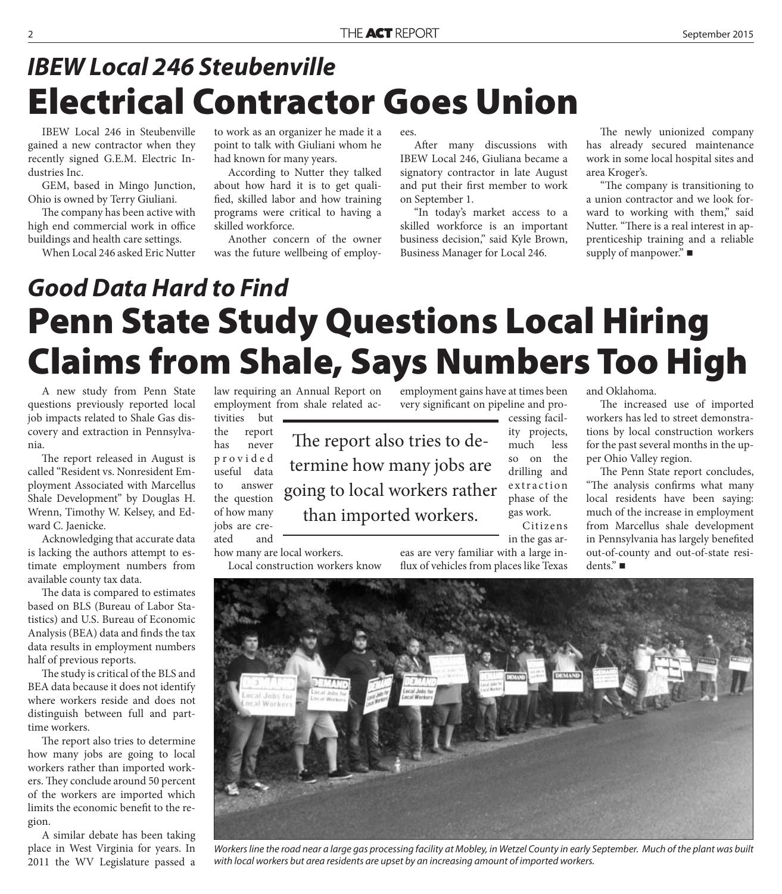# **Electrical Contractor Goes Union** *IBEW Local 246 Steubenville*

IBEW Local 246 in Steubenville gained a new contractor when they recently signed G.E.M. Electric Industries Inc.

GEM, based in Mingo Junction, Ohio is owned by Terry Giuliani.

The company has been active with high end commercial work in office buildings and health care settings.

When Local 246 asked Eric Nutter

to work as an organizer he made it a point to talk with Giuliani whom he had known for many years.

According to Nutter they talked about how hard it is to get qualified, skilled labor and how training programs were critical to having a skilled workforce.

Another concern of the owner was the future wellbeing of employees.

After many discussions with IBEW Local 246, Giuliana became a signatory contractor in late August and put their first member to work on September 1.

"In today's market access to a skilled workforce is an important business decision," said Kyle Brown, Business Manager for Local 246.

The newly unionized company has already secured maintenance work in some local hospital sites and area Kroger's.

"The company is transitioning to a union contractor and we look forward to working with them," said Nutter. "There is a real interest in apprenticeship training and a reliable supply of manpower." ■

# **Penn State Study Questions Local Hiring Claims from Shale, Says Numbers Too High** *Good Data Hard to Find*

A new study from Penn State questions previously reported local job impacts related to Shale Gas discovery and extraction in Pennsylvania.

The report released in August is called "Resident vs. Nonresident Employment Associated with Marcellus Shale Development" by Douglas H. Wrenn, Timothy W. Kelsey, and Edward C. Jaenicke.

Acknowledging that accurate data is lacking the authors attempt to estimate employment numbers from available county tax data.

The data is compared to estimates based on BLS (Bureau of Labor Statistics) and U.S. Bureau of Economic Analysis (BEA) data and finds the tax data results in employment numbers half of previous reports.

The study is critical of the BLS and BEA data because it does not identify where workers reside and does not distinguish between full and parttime workers.

The report also tries to determine how many jobs are going to local workers rather than imported workers. They conclude around 50 percent of the workers are imported which limits the economic benefit to the region.

A similar debate has been taking place in West Virginia for years. In 2011 the WV Legislature passed a

law requiring an Annual Report on employment from shale related activities but

jobs are created and

how many are local workers.

Local construction workers know

the report has never p r o v i d e d useful data to answer the question of how many The report also tries to determine how many jobs are going to local workers rather than imported workers.

employment gains have at times been very significant on pipeline and pro-

> cessing facility projects, much less so on the drilling and extraction phase of the gas work.

Citizens in the gas ar-

eas are very familiar with a large influx of vehicles from places like Texas and Oklahoma.

The increased use of imported workers has led to street demonstrations by local construction workers for the past several months in the upper Ohio Valley region.

The Penn State report concludes, "The analysis confirms what many local residents have been saying: much of the increase in employment from Marcellus shale development in Pennsylvania has largely benefited out-of-county and out-of-state residents."



Workers line the road near a large gas processing facility at Mobley, in Wetzel County in early September. Much of the plant was built with local workers but area residents are upset by an increasing amount of imported workers.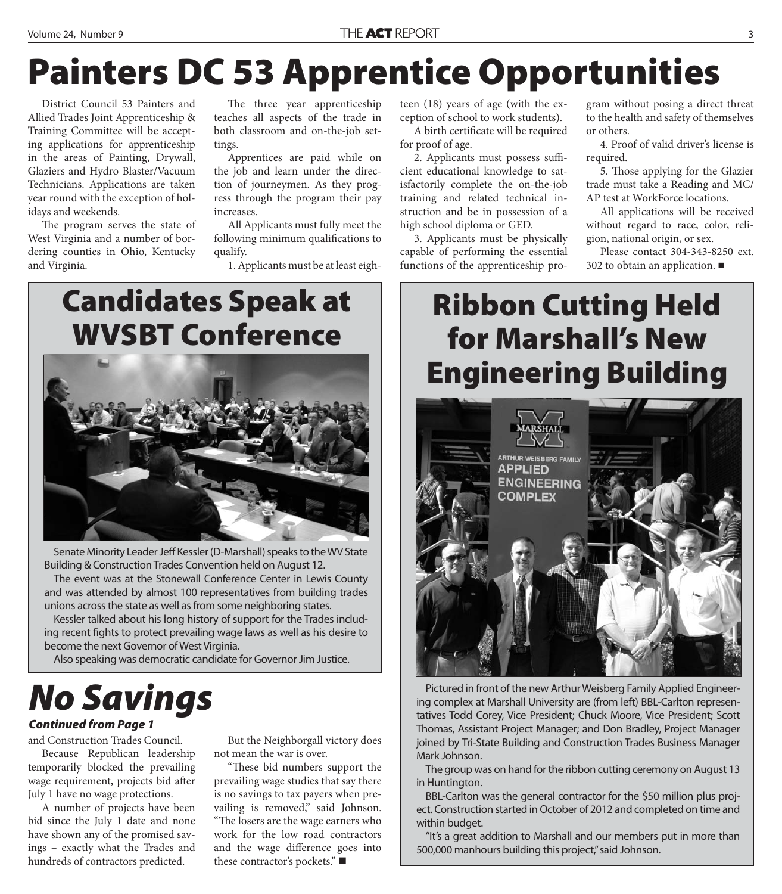# **Painters DC 53 Apprentice Opportunities**

District Council 53 Painters and Allied Trades Joint Apprenticeship & Training Committee will be accepting applications for apprenticeship in the areas of Painting, Drywall, Glaziers and Hydro Blaster/Vacuum Technicians. Applications are taken year round with the exception of holidays and weekends.

The program serves the state of West Virginia and a number of bordering counties in Ohio, Kentucky and Virginia.

The three year apprenticeship teaches all aspects of the trade in both classroom and on-the-job settings.

Apprentices are paid while on the job and learn under the direction of journeymen. As they progress through the program their pay increases.

All Applicants must fully meet the following minimum qualifications to qualify.

1. Applicants must be at least eigh-

### **Candidates Speak at WVSBT Conference**



Senate Minority Leader Jeff Kessler (D-Marshall) speaks to the WV State Building & Construction Trades Convention held on August 12.

The event was at the Stonewall Conference Center in Lewis County and was attended by almost 100 representatives from building trades unions across the state as well as from some neighboring states.

Kessler talked about his long history of support for the Trades including recent fights to protect prevailing wage laws as well as his desire to become the next Governor of West Virginia.

Also speaking was democratic candidate for Governor Jim Justice.

# *No Savings*

#### *Continued from Page 1*

and Construction Trades Council.

Because Republican leadership temporarily blocked the prevailing wage requirement, projects bid after July 1 have no wage protections.

A number of projects have been bid since the July 1 date and none have shown any of the promised savings – exactly what the Trades and hundreds of contractors predicted.

But the Neighborgall victory does not mean the war is over.

"These bid numbers support the prevailing wage studies that say there is no savings to tax payers when prevailing is removed," said Johnson. "The losers are the wage earners who work for the low road contractors and the wage difference goes into these contractor's pockets." ■

teen (18) years of age (with the exception of school to work students).

A birth certificate will be required for proof of age.

2. Applicants must possess sufficient educational knowledge to satisfactorily complete the on-the-job training and related technical instruction and be in possession of a high school diploma or GED.

3. Applicants must be physically capable of performing the essential functions of the apprenticeship pro-

gram without posing a direct threat to the health and safety of themselves or others.

4. Proof of valid driver's license is required.

5. Those applying for the Glazier trade must take a Reading and MC/ AP test at WorkForce locations.

All applications will be received without regard to race, color, religion, national origin, or sex.

Please contact 304-343-8250 ext. 302 to obtain an application.

### **Ribbon Cutting Held for Marshall's New Engineering Building**



Pictured in front of the new Arthur Weisberg Family Applied Engineering complex at Marshall University are (from left) BBL-Carlton representatives Todd Corey, Vice President; Chuck Moore, Vice President; Scott Thomas, Assistant Project Manager; and Don Bradley, Project Manager joined by Tri-State Building and Construction Trades Business Manager Mark Johnson.

The group was on hand for the ribbon cutting ceremony on August 13 in Huntington.

BBL-Carlton was the general contractor for the \$50 million plus project. Construction started in October of 2012 and completed on time and within budget.

"It's a great addition to Marshall and our members put in more than 500,000 manhours building this project," said Johnson.